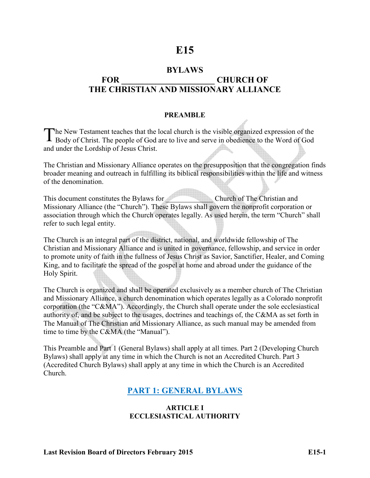# **E15**

## **BYLAWS**  FOR CHURCH OF **THE CHRISTIAN AND MISSIONARY ALLIANCE**

#### **PREAMBLE**

The New Testament teaches that the local church is the visible organized expression of the Body of Christ. The people of God are to live and serve in obedience to the Word of God Body of Christ. The people of God are to live and serve in obedience to the Word of God and under the Lordship of Jesus Christ.

The Christian and Missionary Alliance operates on the presupposition that the congregation finds broader meaning and outreach in fulfilling its biblical responsibilities within the life and witness of the denomination.

This document constitutes the Bylaws for Church of The Christian and Missionary Alliance (the "Church"). These Bylaws shall govern the nonprofit corporation or association through which the Church operates legally. As used herein, the term "Church" shall refer to such legal entity.

The Church is an integral part of the district, national, and worldwide fellowship of The Christian and Missionary Alliance and is united in governance, fellowship, and service in order to promote unity of faith in the fullness of Jesus Christ as Savior, Sanctifier, Healer, and Coming King, and to facilitate the spread of the gospel at home and abroad under the guidance of the Holy Spirit.

The Church is organized and shall be operated exclusively as a member church of The Christian and Missionary Alliance, a church denomination which operates legally as a Colorado nonprofit corporation (the "C&MA"). Accordingly, the Church shall operate under the sole ecclesiastical authority of, and be subject to the usages, doctrines and teachings of, the C&MA as set forth in The Manual of The Christian and Missionary Alliance, as such manual may be amended from time to time by the C&MA (the "Manual").

This Preamble and Part 1 (General Bylaws) shall apply at all times. Part 2 (Developing Church Bylaws) shall apply at any time in which the Church is not an Accredited Church. Part 3 (Accredited Church Bylaws) shall apply at any time in which the Church is an Accredited Church.

## **PART 1: GENERAL BYLAWS**

#### **ARTICLE I ECCLESIASTICAL AUTHORITY**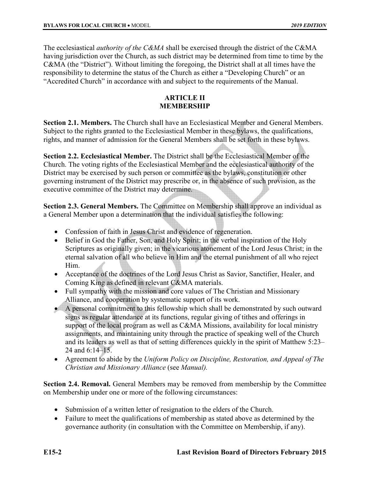The ecclesiastical *authority of the C&MA* shall be exercised through the district of the C&MA having jurisdiction over the Church, as such district may be determined from time to time by the C&MA (the "District"). Without limiting the foregoing, the District shall at all times have the responsibility to determine the status of the Church as either a "Developing Church" or an "Accredited Church" in accordance with and subject to the requirements of the Manual.

#### **ARTICLE II MEMBERSHIP**

**Section 2.1. Members.** The Church shall have an Ecclesiastical Member and General Members. Subject to the rights granted to the Ecclesiastical Member in these bylaws, the qualifications, rights, and manner of admission for the General Members shall be set forth in these bylaws.

**Section 2.2. Ecclesiastical Member.** The District shall be the Ecclesiastical Member of the Church. The voting rights of the Ecclesiastical Member and the ecclesiastical authority of the District may be exercised by such person or committee as the bylaws, constitution or other governing instrument of the District may prescribe or, in the absence of such provision, as the executive committee of the District may determine.

**Section 2.3. General Members.** The Committee on Membership shall approve an individual as a General Member upon a determination that the individual satisfies the following:

- Confession of faith in Jesus Christ and evidence of regeneration.
- Belief in God the Father, Son, and Holy Spirit; in the verbal inspiration of the Holy Scriptures as originally given; in the vicarious atonement of the Lord Jesus Christ; in the eternal salvation of all who believe in Him and the eternal punishment of all who reject Him.
- Acceptance of the doctrines of the Lord Jesus Christ as Savior, Sanctifier, Healer, and Coming King as defined in relevant C&MA materials.
- Full sympathy with the mission and core values of The Christian and Missionary Alliance, and cooperation by systematic support of its work.
- A personal commitment to this fellowship which shall be demonstrated by such outward signs as regular attendance at its functions, regular giving of tithes and offerings in support of the local program as well as C&MA Missions, availability for local ministry assignments, and maintaining unity through the practice of speaking well of the Church and its leaders as well as that of setting differences quickly in the spirit of Matthew 5:23– 24 and 6:14–15.
- Agreement to abide by the *Uniform Policy on Discipline, Restoration, and Appeal of The Christian and Missionary Alliance* (see *Manual).*

**Section 2.4. Removal.** General Members may be removed from membership by the Committee on Membership under one or more of the following circumstances:

- Submission of a written letter of resignation to the elders of the Church.
- Failure to meet the qualifications of membership as stated above as determined by the governance authority (in consultation with the Committee on Membership, if any).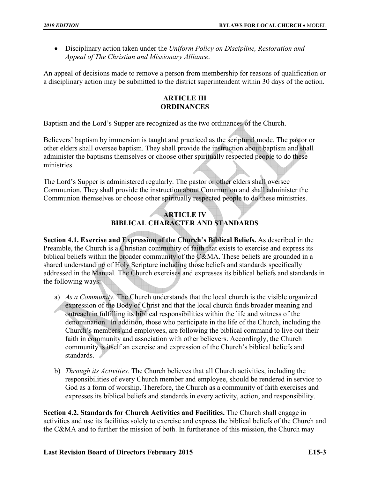Disciplinary action taken under the *Uniform Policy on Discipline, Restoration and Appeal of The Christian and Missionary Alliance*.

An appeal of decisions made to remove a person from membership for reasons of qualification or a disciplinary action may be submitted to the district superintendent within 30 days of the action.

#### **ARTICLE III ORDINANCES**

Baptism and the Lord's Supper are recognized as the two ordinances of the Church.

Believers' baptism by immersion is taught and practiced as the scriptural mode. The pastor or other elders shall oversee baptism. They shall provide the instruction about baptism and shall administer the baptisms themselves or choose other spiritually respected people to do these ministries.

The Lord's Supper is administered regularly. The pastor or other elders shall oversee Communion. They shall provide the instruction about Communion and shall administer the Communion themselves or choose other spiritually respected people to do these ministries.

## **ARTICLE IV BIBLICAL CHARACTER AND STANDARDS**

**Section 4.1. Exercise and Expression of the Church's Biblical Beliefs.** As described in the Preamble, the Church is a Christian community of faith that exists to exercise and express its biblical beliefs within the broader community of the C&MA. These beliefs are grounded in a shared understanding of Holy Scripture including those beliefs and standards specifically addressed in the Manual. The Church exercises and expresses its biblical beliefs and standards in the following ways:

- a) *As a Community.* The Church understands that the local church is the visible organized expression of the Body of Christ and that the local church finds broader meaning and outreach in fulfilling its biblical responsibilities within the life and witness of the denomination. In addition, those who participate in the life of the Church, including the Church's members and employees, are following the biblical command to live out their faith in community and association with other believers. Accordingly, the Church community is itself an exercise and expression of the Church's biblical beliefs and standards.
- b) *Through its Activities.* The Church believes that all Church activities, including the responsibilities of every Church member and employee, should be rendered in service to God as a form of worship. Therefore, the Church as a community of faith exercises and expresses its biblical beliefs and standards in every activity, action, and responsibility.

**Section 4.2. Standards for Church Activities and Facilities.** The Church shall engage in activities and use its facilities solely to exercise and express the biblical beliefs of the Church and the C&MA and to further the mission of both. In furtherance of this mission, the Church may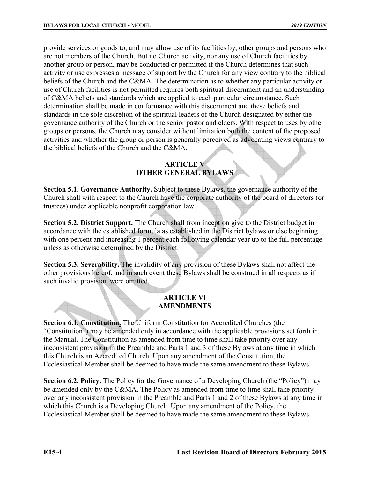provide services or goods to, and may allow use of its facilities by, other groups and persons who are not members of the Church. But no Church activity, nor any use of Church facilities by another group or person, may be conducted or permitted if the Church determines that such activity or use expresses a message of support by the Church for any view contrary to the biblical beliefs of the Church and the C&MA. The determination as to whether any particular activity or use of Church facilities is not permitted requires both spiritual discernment and an understanding of C&MA beliefs and standards which are applied to each particular circumstance. Such determination shall be made in conformance with this discernment and these beliefs and standards in the sole discretion of the spiritual leaders of the Church designated by either the governance authority of the Church or the senior pastor and elders. With respect to uses by other groups or persons, the Church may consider without limitation both the content of the proposed activities and whether the group or person is generally perceived as advocating views contrary to the biblical beliefs of the Church and the C&MA.

#### **ARTICLE V OTHER GENERAL BYLAWS**

**Section 5.1. Governance Authority.** Subject to these Bylaws, the governance authority of the Church shall with respect to the Church have the corporate authority of the board of directors (or trustees) under applicable nonprofit corporation law.

**Section 5.2. District Support.** The Church shall from inception give to the District budget in accordance with the established formula as established in the District bylaws or else beginning with one percent and increasing 1 percent each following calendar year up to the full percentage unless as otherwise determined by the District.

**Section 5.3. Severability.** The invalidity of any provision of these Bylaws shall not affect the other provisions hereof, and in such event these Bylaws shall be construed in all respects as if such invalid provision were omitted.

#### **ARTICLE VI AMENDMENTS**

**Section 6.1. Constitution.** The Uniform Constitution for Accredited Churches (the "Constitution") may be amended only in accordance with the applicable provisions set forth in the Manual. The Constitution as amended from time to time shall take priority over any inconsistent provision in the Preamble and Parts 1 and 3 of these Bylaws at any time in which this Church is an Accredited Church. Upon any amendment of the Constitution, the Ecclesiastical Member shall be deemed to have made the same amendment to these Bylaws.

**Section 6.2. Policy.** The Policy for the Governance of a Developing Church (the "Policy") may be amended only by the C&MA. The Policy as amended from time to time shall take priority over any inconsistent provision in the Preamble and Parts 1 and 2 of these Bylaws at any time in which this Church is a Developing Church. Upon any amendment of the Policy, the Ecclesiastical Member shall be deemed to have made the same amendment to these Bylaws.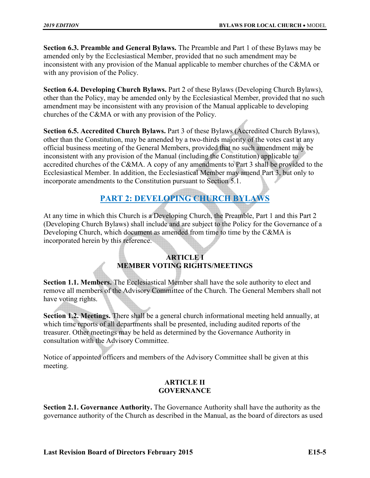**Section 6.3. Preamble and General Bylaws.** The Preamble and Part 1 of these Bylaws may be amended only by the Ecclesiastical Member, provided that no such amendment may be inconsistent with any provision of the Manual applicable to member churches of the C&MA or with any provision of the Policy.

**Section 6.4. Developing Church Bylaws.** Part 2 of these Bylaws (Developing Church Bylaws), other than the Policy, may be amended only by the Ecclesiastical Member, provided that no such amendment may be inconsistent with any provision of the Manual applicable to developing churches of the C&MA or with any provision of the Policy.

**Section 6.5. Accredited Church Bylaws.** Part 3 of these Bylaws (Accredited Church Bylaws), other than the Constitution, may be amended by a two-thirds majority of the votes cast at any official business meeting of the General Members, provided that no such amendment may be inconsistent with any provision of the Manual (including the Constitution) applicable to accredited churches of the C&MA. A copy of any amendments to Part 3 shall be provided to the Ecclesiastical Member. In addition, the Ecclesiastical Member may amend Part 3, but only to incorporate amendments to the Constitution pursuant to Section 5.1.

# **PART 2: DEVELOPING CHURCH BYLAWS**

At any time in which this Church is a Developing Church, the Preamble, Part 1 and this Part 2 (Developing Church Bylaws) shall include and are subject to the Policy for the Governance of a Developing Church, which document as amended from time to time by the C&MA is incorporated herein by this reference.

### **ARTICLE I MEMBER VOTING RIGHTS/MEETINGS**

**Section 1.1. Members.** The Ecclesiastical Member shall have the sole authority to elect and remove all members of the Advisory Committee of the Church. The General Members shall not have voting rights.

**Section 1.2. Meetings.** There shall be a general church informational meeting held annually, at which time reports of all departments shall be presented, including audited reports of the treasurer. Other meetings may be held as determined by the Governance Authority in consultation with the Advisory Committee.

Notice of appointed officers and members of the Advisory Committee shall be given at this meeting.

#### **ARTICLE II GOVERNANCE**

**Section 2.1. Governance Authority.** The Governance Authority shall have the authority as the governance authority of the Church as described in the Manual, as the board of directors as used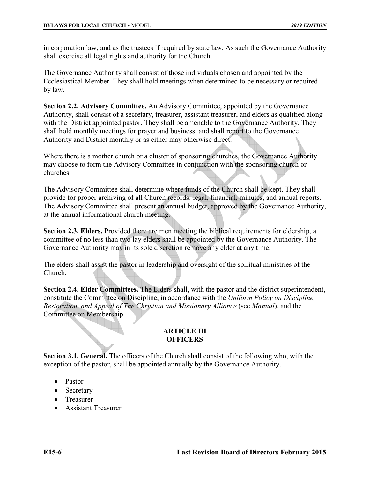in corporation law, and as the trustees if required by state law. As such the Governance Authority shall exercise all legal rights and authority for the Church.

The Governance Authority shall consist of those individuals chosen and appointed by the Ecclesiastical Member. They shall hold meetings when determined to be necessary or required by law.

**Section 2.2. Advisory Committee.** An Advisory Committee, appointed by the Governance Authority, shall consist of a secretary, treasurer, assistant treasurer, and elders as qualified along with the District appointed pastor. They shall be amenable to the Governance Authority. They shall hold monthly meetings for prayer and business, and shall report to the Governance Authority and District monthly or as either may otherwise direct.

Where there is a mother church or a cluster of sponsoring churches, the Governance Authority may choose to form the Advisory Committee in conjunction with the sponsoring church or churches.

The Advisory Committee shall determine where funds of the Church shall be kept. They shall provide for proper archiving of all Church records: legal, financial, minutes, and annual reports. The Advisory Committee shall present an annual budget, approved by the Governance Authority, at the annual informational church meeting.

**Section 2.3. Elders.** Provided there are men meeting the biblical requirements for eldership, a committee of no less than two lay elders shall be appointed by the Governance Authority. The Governance Authority may in its sole discretion remove any elder at any time.

The elders shall assist the pastor in leadership and oversight of the spiritual ministries of the Church.

**Section 2.4. Elder Committees.** The Elders shall, with the pastor and the district superintendent, constitute the Committee on Discipline, in accordance with the *Uniform Policy on Discipline, Restoration, and Appeal of The Christian and Missionary Alliance* (see *Manual*), and the Committee on Membership.

#### **ARTICLE III OFFICERS**

**Section 3.1. General.** The officers of the Church shall consist of the following who, with the exception of the pastor, shall be appointed annually by the Governance Authority.

- Pastor
- Secretary
- Treasurer
- Assistant Treasurer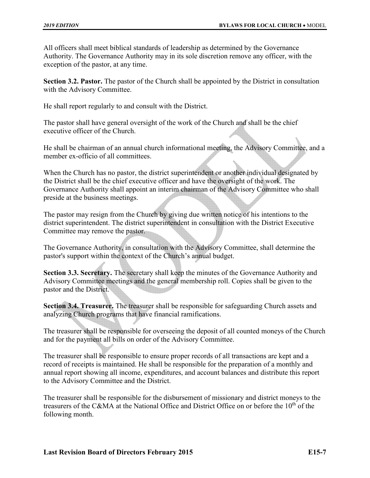All officers shall meet biblical standards of leadership as determined by the Governance Authority. The Governance Authority may in its sole discretion remove any officer, with the exception of the pastor, at any time.

**Section 3.2. Pastor.** The pastor of the Church shall be appointed by the District in consultation with the Advisory Committee.

He shall report regularly to and consult with the District.

The pastor shall have general oversight of the work of the Church and shall be the chief executive officer of the Church.

He shall be chairman of an annual church informational meeting, the Advisory Committee, and a member ex-officio of all committees.

When the Church has no pastor, the district superintendent or another individual designated by the District shall be the chief executive officer and have the oversight of the work. The Governance Authority shall appoint an interim chairman of the Advisory Committee who shall preside at the business meetings.

The pastor may resign from the Church by giving due written notice of his intentions to the district superintendent. The district superintendent in consultation with the District Executive Committee may remove the pastor.

The Governance Authority, in consultation with the Advisory Committee, shall determine the pastor's support within the context of the Church's annual budget.

**Section 3.3. Secretary.** The secretary shall keep the minutes of the Governance Authority and Advisory Committee meetings and the general membership roll. Copies shall be given to the pastor and the District.

**Section 3.4. Treasurer.** The treasurer shall be responsible for safeguarding Church assets and analyzing Church programs that have financial ramifications.

The treasurer shall be responsible for overseeing the deposit of all counted moneys of the Church and for the payment all bills on order of the Advisory Committee.

The treasurer shall be responsible to ensure proper records of all transactions are kept and a record of receipts is maintained. He shall be responsible for the preparation of a monthly and annual report showing all income, expenditures, and account balances and distribute this report to the Advisory Committee and the District.

The treasurer shall be responsible for the disbursement of missionary and district moneys to the treasurers of the C&MA at the National Office and District Office on or before the  $10<sup>th</sup>$  of the following month.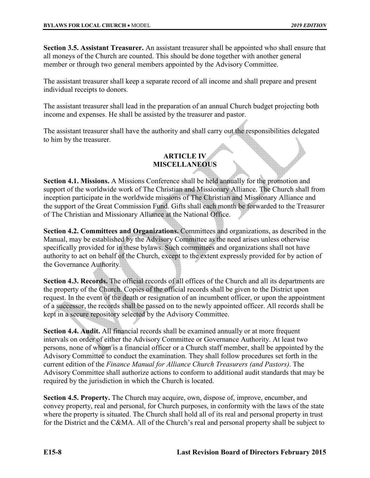**Section 3.5. Assistant Treasurer.** An assistant treasurer shall be appointed who shall ensure that all moneys of the Church are counted. This should be done together with another general member or through two general members appointed by the Advisory Committee.

The assistant treasurer shall keep a separate record of all income and shall prepare and present individual receipts to donors.

The assistant treasurer shall lead in the preparation of an annual Church budget projecting both income and expenses. He shall be assisted by the treasurer and pastor.

The assistant treasurer shall have the authority and shall carry out the responsibilities delegated to him by the treasurer.

## **ARTICLE IV MISCELLANEOUS**

**Section 4.1. Missions.** A Missions Conference shall be held annually for the promotion and support of the worldwide work of The Christian and Missionary Alliance. The Church shall from inception participate in the worldwide missions of The Christian and Missionary Alliance and the support of the Great Commission Fund. Gifts shall each month be forwarded to the Treasurer of The Christian and Missionary Alliance at the National Office.

**Section 4.2. Committees and Organizations.** Committees and organizations, as described in the Manual, may be established by the Advisory Committee as the need arises unless otherwise specifically provided for in these bylaws. Such committees and organizations shall not have authority to act on behalf of the Church, except to the extent expressly provided for by action of the Governance Authority.

**Section 4.3. Records.** The official records of all offices of the Church and all its departments are the property of the Church. Copies of the official records shall be given to the District upon request. In the event of the death or resignation of an incumbent officer, or upon the appointment of a successor, the records shall be passed on to the newly appointed officer. All records shall be kept in a secure repository selected by the Advisory Committee.

**Section 4.4. Audit.** All financial records shall be examined annually or at more frequent intervals on order of either the Advisory Committee or Governance Authority. At least two persons, none of whom is a financial officer or a Church staff member, shall be appointed by the Advisory Committee to conduct the examination. They shall follow procedures set forth in the current edition of the *Finance Manual for Alliance Church Treasurers (and Pastors)*. The Advisory Committee shall authorize actions to conform to additional audit standards that may be required by the jurisdiction in which the Church is located.

**Section 4.5. Property.** The Church may acquire, own, dispose of, improve, encumber, and convey property, real and personal, for Church purposes, in conformity with the laws of the state where the property is situated. The Church shall hold all of its real and personal property in trust for the District and the C&MA. All of the Church's real and personal property shall be subject to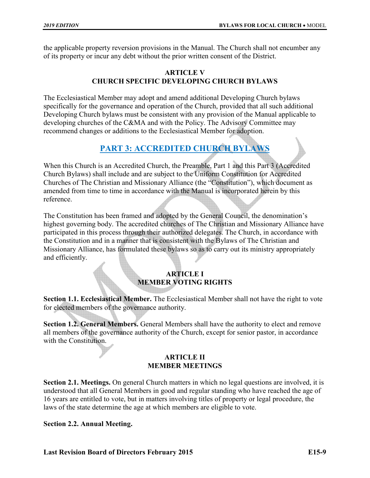the applicable property reversion provisions in the Manual. The Church shall not encumber any of its property or incur any debt without the prior written consent of the District.

#### **ARTICLE V CHURCH SPECIFIC DEVELOPING CHURCH BYLAWS**

The Ecclesiastical Member may adopt and amend additional Developing Church bylaws specifically for the governance and operation of the Church, provided that all such additional Developing Church bylaws must be consistent with any provision of the Manual applicable to developing churches of the C&MA and with the Policy. The Advisory Committee may recommend changes or additions to the Ecclesiastical Member for adoption.

## **PART 3: ACCREDITED CHURCH BYLAWS**

When this Church is an Accredited Church, the Preamble, Part 1 and this Part 3 (Accredited Church Bylaws) shall include and are subject to the Uniform Constitution for Accredited Churches of The Christian and Missionary Alliance (the "Constitution"), which document as amended from time to time in accordance with the Manual is incorporated herein by this reference.

The Constitution has been framed and adopted by the General Council, the denomination's highest governing body. The accredited churches of The Christian and Missionary Alliance have participated in this process through their authorized delegates. The Church, in accordance with the Constitution and in a manner that is consistent with the Bylaws of The Christian and Missionary Alliance, has formulated these bylaws so as to carry out its ministry appropriately and efficiently.

#### **ARTICLE I MEMBER VOTING RIGHTS**

**Section 1.1. Ecclesiastical Member.** The Ecclesiastical Member shall not have the right to vote for elected members of the governance authority.

**Section 1.2. General Members.** General Members shall have the authority to elect and remove all members of the governance authority of the Church, except for senior pastor, in accordance with the Constitution.

#### **ARTICLE II MEMBER MEETINGS**

**Section 2.1. Meetings.** On general Church matters in which no legal questions are involved, it is understood that all General Members in good and regular standing who have reached the age of 16 years are entitled to vote, but in matters involving titles of property or legal procedure, the laws of the state determine the age at which members are eligible to vote.

#### **Section 2.2. Annual Meeting.**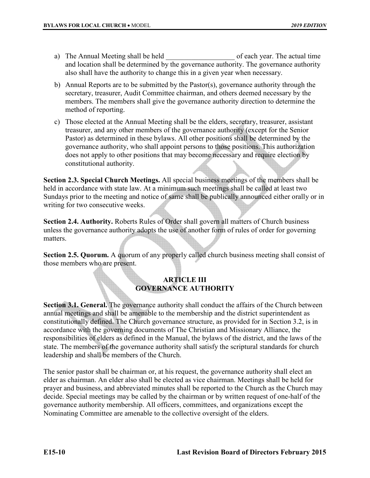- a) The Annual Meeting shall be held of each year. The actual time and location shall be determined by the governance authority. The governance authority also shall have the authority to change this in a given year when necessary.
- b) Annual Reports are to be submitted by the Pastor(s), governance authority through the secretary, treasurer, Audit Committee chairman, and others deemed necessary by the members. The members shall give the governance authority direction to determine the method of reporting.
- c) Those elected at the Annual Meeting shall be the elders, secretary, treasurer, assistant treasurer, and any other members of the governance authority (except for the Senior Pastor) as determined in these bylaws. All other positions shall be determined by the governance authority, who shall appoint persons to those positions. This authorization does not apply to other positions that may become necessary and require election by constitutional authority.

**Section 2.3. Special Church Meetings.** All special business meetings of the members shall be held in accordance with state law. At a minimum such meetings shall be called at least two Sundays prior to the meeting and notice of same shall be publically announced either orally or in writing for two consecutive weeks.

**Section 2.4. Authority.** Roberts Rules of Order shall govern all matters of Church business unless the governance authority adopts the use of another form of rules of order for governing matters.

**Section 2.5. Quorum.** A quorum of any properly called church business meeting shall consist of those members who are present.

#### **ARTICLE III GOVERNANCE AUTHORITY**

**Section 3.1. General.** The governance authority shall conduct the affairs of the Church between annual meetings and shall be amenable to the membership and the district superintendent as constitutionally defined. The Church governance structure, as provided for in Section 3.2, is in accordance with the governing documents of The Christian and Missionary Alliance, the responsibilities of elders as defined in the Manual, the bylaws of the district, and the laws of the state. The members of the governance authority shall satisfy the scriptural standards for church leadership and shall be members of the Church.

The senior pastor shall be chairman or, at his request, the governance authority shall elect an elder as chairman. An elder also shall be elected as vice chairman. Meetings shall be held for prayer and business, and abbreviated minutes shall be reported to the Church as the Church may decide. Special meetings may be called by the chairman or by written request of one-half of the governance authority membership. All officers, committees, and organizations except the Nominating Committee are amenable to the collective oversight of the elders.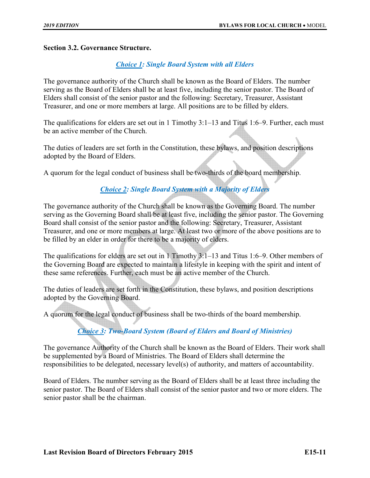#### **Section 3.2. Governance Structure.**

#### *Choice 1: Single Board System with all Elders*

The governance authority of the Church shall be known as the Board of Elders. The number serving as the Board of Elders shall be at least five, including the senior pastor. The Board of Elders shall consist of the senior pastor and the following: Secretary, Treasurer, Assistant Treasurer, and one or more members at large. All positions are to be filled by elders.

The qualifications for elders are set out in 1 Timothy 3:1–13 and Titus 1:6–9. Further, each must be an active member of the Church.

The duties of leaders are set forth in the Constitution, these bylaws, and position descriptions adopted by the Board of Elders.

A quorum for the legal conduct of business shall be two-thirds of the board membership.

#### *Choice 2: Single Board System with a Majority of Elders*

The governance authority of the Church shall be known as the Governing Board. The number serving as the Governing Board shall be at least five, including the senior pastor. The Governing Board shall consist of the senior pastor and the following: Secretary, Treasurer, Assistant Treasurer, and one or more members at large. At least two or more of the above positions are to be filled by an elder in order for there to be a majority of elders.

The qualifications for elders are set out in 1 Timothy 3:1–13 and Titus 1:6–9. Other members of the Governing Board are expected to maintain a lifestyle in keeping with the spirit and intent of these same references. Further, each must be an active member of the Church.

The duties of leaders are set forth in the Constitution, these bylaws, and position descriptions adopted by the Governing Board.

A quorum for the legal conduct of business shall be two-thirds of the board membership.

## *Choice 3: Two-Board System (Board of Elders and Board of Ministries)*

The governance Authority of the Church shall be known as the Board of Elders. Their work shall be supplemented by a Board of Ministries. The Board of Elders shall determine the responsibilities to be delegated, necessary level(s) of authority, and matters of accountability.

Board of Elders. The number serving as the Board of Elders shall be at least three including the senior pastor. The Board of Elders shall consist of the senior pastor and two or more elders. The senior pastor shall be the chairman.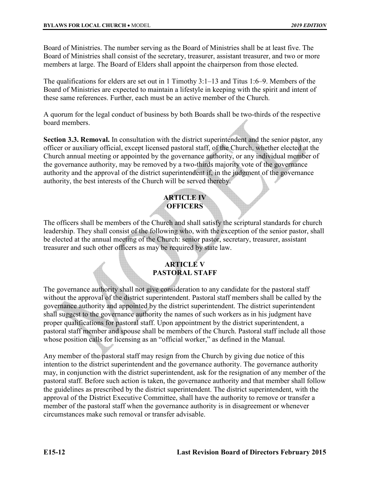Board of Ministries. The number serving as the Board of Ministries shall be at least five. The Board of Ministries shall consist of the secretary, treasurer, assistant treasurer, and two or more members at large. The Board of Elders shall appoint the chairperson from those elected.

The qualifications for elders are set out in 1 Timothy 3:1–13 and Titus 1:6–9. Members of the Board of Ministries are expected to maintain a lifestyle in keeping with the spirit and intent of these same references. Further, each must be an active member of the Church.

A quorum for the legal conduct of business by both Boards shall be two-thirds of the respective board members.

**Section 3.3. Removal.** In consultation with the district superintendent and the senior pastor, any officer or auxiliary official, except licensed pastoral staff, of the Church, whether elected at the Church annual meeting or appointed by the governance authority, or any individual member of the governance authority, may be removed by a two-thirds majority vote of the governance authority and the approval of the district superintendent if, in the judgment of the governance authority, the best interests of the Church will be served thereby.

### **ARTICLE IV OFFICERS**

The officers shall be members of the Church and shall satisfy the scriptural standards for church leadership. They shall consist of the following who, with the exception of the senior pastor, shall be elected at the annual meeting of the Church: senior pastor, secretary, treasurer, assistant treasurer and such other officers as may be required by state law.

## **ARTICLE V PASTORAL STAFF**

The governance authority shall not give consideration to any candidate for the pastoral staff without the approval of the district superintendent. Pastoral staff members shall be called by the governance authority and appointed by the district superintendent. The district superintendent shall suggest to the governance authority the names of such workers as in his judgment have proper qualifications for pastoral staff. Upon appointment by the district superintendent, a pastoral staff member and spouse shall be members of the Church. Pastoral staff include all those whose position calls for licensing as an "official worker," as defined in the Manual*.* 

Any member of the pastoral staff may resign from the Church by giving due notice of this intention to the district superintendent and the governance authority. The governance authority may, in conjunction with the district superintendent, ask for the resignation of any member of the pastoral staff. Before such action is taken, the governance authority and that member shall follow the guidelines as prescribed by the district superintendent. The district superintendent, with the approval of the District Executive Committee, shall have the authority to remove or transfer a member of the pastoral staff when the governance authority is in disagreement or whenever circumstances make such removal or transfer advisable.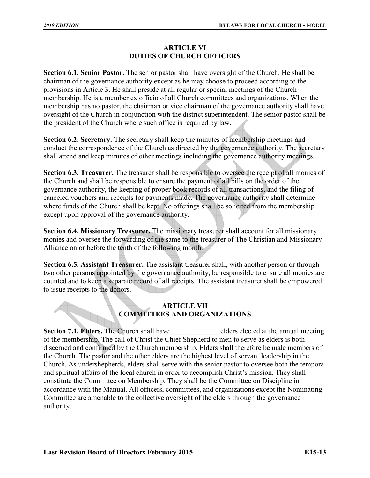#### **ARTICLE VI DUTIES OF CHURCH OFFICERS**

**Section 6.1. Senior Pastor.** The senior pastor shall have oversight of the Church. He shall be chairman of the governance authority except as he may choose to proceed according to the provisions in Article 3. He shall preside at all regular or special meetings of the Church membership. He is a member ex officio of all Church committees and organizations. When the membership has no pastor, the chairman or vice chairman of the governance authority shall have oversight of the Church in conjunction with the district superintendent. The senior pastor shall be the president of the Church where such office is required by law.

**Section 6.2. Secretary.** The secretary shall keep the minutes of membership meetings and conduct the correspondence of the Church as directed by the governance authority. The secretary shall attend and keep minutes of other meetings including the governance authority meetings.

**Section 6.3. Treasurer.** The treasurer shall be responsible to oversee the receipt of all monies of the Church and shall be responsible to ensure the payment of all bills on the order of the governance authority, the keeping of proper book records of all transactions, and the filing of canceled vouchers and receipts for payments made. The governance authority shall determine where funds of the Church shall be kept. No offerings shall be solicited from the membership except upon approval of the governance authority.

**Section 6.4. Missionary Treasurer.** The missionary treasurer shall account for all missionary monies and oversee the forwarding of the same to the treasurer of The Christian and Missionary Alliance on or before the tenth of the following month.

**Section 6.5. Assistant Treasurer.** The assistant treasurer shall, with another person or through two other persons appointed by the governance authority, be responsible to ensure all monies are counted and to keep a separate record of all receipts. The assistant treasurer shall be empowered to issue receipts to the donors.

#### **ARTICLE VII COMMITTEES AND ORGANIZATIONS**

**Section 7.1. Elders.** The Church shall have elders elected at the annual meeting of the membership. The call of Christ the Chief Shepherd to men to serve as elders is both discerned and confirmed by the Church membership. Elders shall therefore be male members of the Church. The pastor and the other elders are the highest level of servant leadership in the Church. As undershepherds, elders shall serve with the senior pastor to oversee both the temporal and spiritual affairs of the local church in order to accomplish Christ's mission. They shall constitute the Committee on Membership. They shall be the Committee on Discipline in accordance with the Manual. All officers, committees, and organizations except the Nominating Committee are amenable to the collective oversight of the elders through the governance authority.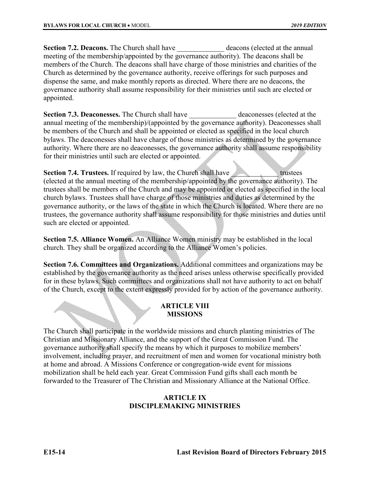**Section 7.2. Deacons.** The Church shall have deacons (elected at the annual meeting of the membership/appointed by the governance authority). The deacons shall be members of the Church. The deacons shall have charge of those ministries and charities of the Church as determined by the governance authority, receive offerings for such purposes and dispense the same, and make monthly reports as directed. Where there are no deacons, the governance authority shall assume responsibility for their ministries until such are elected or appointed.

**Section 7.3. Deaconesses.** The Church shall have **deaconesses** (elected at the annual meeting of the membership)/(appointed by the governance authority). Deaconesses shall be members of the Church and shall be appointed or elected as specified in the local church bylaws. The deaconesses shall have charge of those ministries as determined by the governance authority. Where there are no deaconesses, the governance authority shall assume responsibility for their ministries until such are elected or appointed.

**Section 7.4. Trustees.** If required by law, the Church shall have **the contract of the contract of the contract of the contract of the contract of the contract of the contract of the contract of the contract of the contra** (elected at the annual meeting of the membership/appointed by the governance authority). The trustees shall be members of the Church and may be appointed or elected as specified in the local church bylaws. Trustees shall have charge of those ministries and duties as determined by the governance authority, or the laws of the state in which the Church is located. Where there are no trustees, the governance authority shall assume responsibility for those ministries and duties until such are elected or appointed.

**Section 7.5. Alliance Women.** An Alliance Women ministry may be established in the local church. They shall be organized according to the Alliance Women's policies.

**Section 7.6. Committees and Organizations.** Additional committees and organizations may be established by the governance authority as the need arises unless otherwise specifically provided for in these bylaws. Such committees and organizations shall not have authority to act on behalf of the Church, except to the extent expressly provided for by action of the governance authority.

#### **ARTICLE VIII MISSIONS**

The Church shall participate in the worldwide missions and church planting ministries of The Christian and Missionary Alliance, and the support of the Great Commission Fund. The governance authority shall specify the means by which it purposes to mobilize members' involvement, including prayer, and recruitment of men and women for vocational ministry both at home and abroad. A Missions Conference or congregation-wide event for missions mobilization shall be held each year. Great Commission Fund gifts shall each month be forwarded to the Treasurer of The Christian and Missionary Alliance at the National Office.

#### **ARTICLE IX DISCIPLEMAKING MINISTRIES**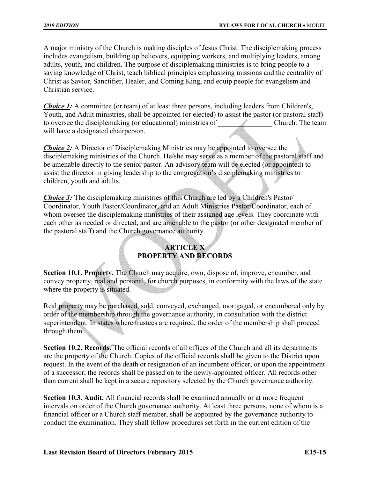A major ministry of the Church is making disciples of Jesus Christ. The disciplemaking process includes evangelism, building up believers, equipping workers, and multiplying leaders, among adults, youth, and children. The purpose of disciplemaking ministries is to bring people to a saving knowledge of Christ, teach biblical principles emphasizing missions and the centrality of Christ as Savior, Sanctifier, Healer, and Coming King, and equip people for evangelism and Christian service.

*Choice 1:* A committee (or team) of at least three persons, including leaders from Children's, Youth, and Adult ministries, shall be appointed (or elected) to assist the pastor (or pastoral staff) to oversee the disciplemaking (or educational) ministries of Church. The team will have a designated chairperson.

*Choice 2:* A Director of Disciplemaking Ministries may be appointed to oversee the disciplemaking ministries of the Church. He/she may serve as a member of the pastoral staff and be amenable directly to the senior pastor. An advisory team will be elected (or appointed) to assist the director in giving leadership to the congregation's disciplemaking ministries to children, youth and adults.

*Choice 3*: The disciplemaking ministries of this Church are led by a Children's Pastor/ Coordinator, Youth Pastor/Coordinator, and an Adult Ministries Pastor/Coordinator, each of whom oversee the disciplemaking ministries of their assigned age levels. They coordinate with each other as needed or directed, and are amenable to the pastor (or other designated member of the pastoral staff) and the Church governance authority.

## **ARTICLE X PROPERTY AND RECORDS**

**Section 10.1. Property.** The Church may acquire, own, dispose of, improve, encumber, and convey property, real and personal, for church purposes, in conformity with the laws of the state where the property is situated.

Real property may be purchased, sold, conveyed, exchanged, mortgaged, or encumbered only by order of the membership through the governance authority, in consultation with the district superintendent. In states where trustees are required, the order of the membership shall proceed through them.

**Section 10.2. Records.** The official records of all offices of the Church and all its departments are the property of the Church. Copies of the official records shall be given to the District upon request. In the event of the death or resignation of an incumbent officer, or upon the appointment of a successor, the records shall be passed on to the newly-appointed officer. All records other than current shall be kept in a secure repository selected by the Church governance authority.

**Section 10.3. Audit.** All financial records shall be examined annually or at more frequent intervals on order of the Church governance authority. At least three persons, none of whom is a financial officer or a Church staff member, shall be appointed by the governance authority to conduct the examination. They shall follow procedures set forth in the current edition of the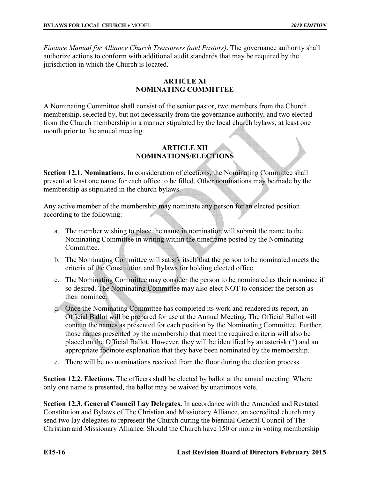*Finance Manual for Alliance Church Treasurers (and Pastors)*. The governance authority shall authorize actions to conform with additional audit standards that may be required by the jurisdiction in which the Church is located.

#### **ARTICLE XI NOMINATING COMMITTEE**

A Nominating Committee shall consist of the senior pastor, two members from the Church membership, selected by, but not necessarily from the governance authority, and two elected from the Church membership in a manner stipulated by the local church bylaws, at least one month prior to the annual meeting.

#### **ARTICLE XII NOMINATIONS/ELECTIONS**

**Section 12.1. Nominations.** In consideration of elections, the Nominating Committee shall present at least one name for each office to be filled. Other nominations may be made by the membership as stipulated in the church bylaws.

Any active member of the membership may nominate any person for an elected position according to the following:

- a. The member wishing to place the name in nomination will submit the name to the Nominating Committee in writing within the timeframe posted by the Nominating Committee.
- b. The Nominating Committee will satisfy itself that the person to be nominated meets the criteria of the Constitution and Bylaws for holding elected office.
- c. The Nominating Committee may consider the person to be nominated as their nominee if so desired. The Nominating Committee may also elect NOT to consider the person as their nominee.
- d. Once the Nominating Committee has completed its work and rendered its report, an Official Ballot will be prepared for use at the Annual Meeting. The Official Ballot will contain the names as presented for each position by the Nominating Committee. Further, those names presented by the membership that meet the required criteria will also be placed on the Official Ballot. However, they will be identified by an asterisk (\*) and an appropriate footnote explanation that they have been nominated by the membership.
- e. There will be no nominations received from the floor during the election process.

**Section 12.2. Elections.** The officers shall be elected by ballot at the annual meeting. Where only one name is presented, the ballot may be waived by unanimous vote.

**Section 12.3. General Council Lay Delegates.** In accordance with the Amended and Restated Constitution and Bylaws of The Christian and Missionary Alliance, an accredited church may send two lay delegates to represent the Church during the biennial General Council of The Christian and Missionary Alliance. Should the Church have 150 or more in voting membership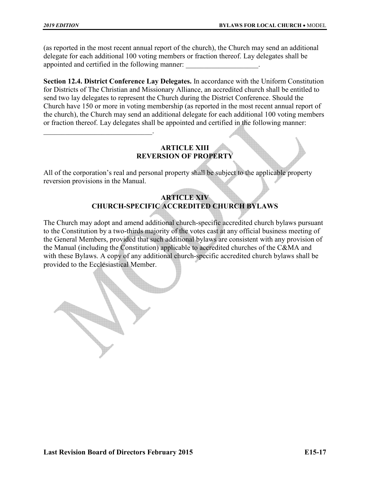$\overline{\phantom{a}}$  , which is a set of the set of the set of the set of the set of the set of the set of the set of the set of the set of the set of the set of the set of the set of the set of the set of the set of the set of th

(as reported in the most recent annual report of the church), the Church may send an additional delegate for each additional 100 voting members or fraction thereof. Lay delegates shall be appointed and certified in the following manner:

**Section 12.4. District Conference Lay Delegates.** In accordance with the Uniform Constitution for Districts of The Christian and Missionary Alliance, an accredited church shall be entitled to send two lay delegates to represent the Church during the District Conference. Should the Church have 150 or more in voting membership (as reported in the most recent annual report of the church), the Church may send an additional delegate for each additional 100 voting members or fraction thereof. Lay delegates shall be appointed and certified in the following manner:

#### **ARTICLE XIII REVERSION OF PROPERTY**

All of the corporation's real and personal property shall be subject to the applicable property reversion provisions in the Manual.

#### **ARTICLE XIV CHURCH-SPECIFIC ACCREDITED CHURCH BYLAWS**

The Church may adopt and amend additional church-specific accredited church bylaws pursuant to the Constitution by a two-thirds majority of the votes cast at any official business meeting of the General Members, provided that such additional bylaws are consistent with any provision of the Manual (including the Constitution) applicable to accredited churches of the C&MA and with these Bylaws. A copy of any additional church-specific accredited church bylaws shall be provided to the Ecclesiastical Member.